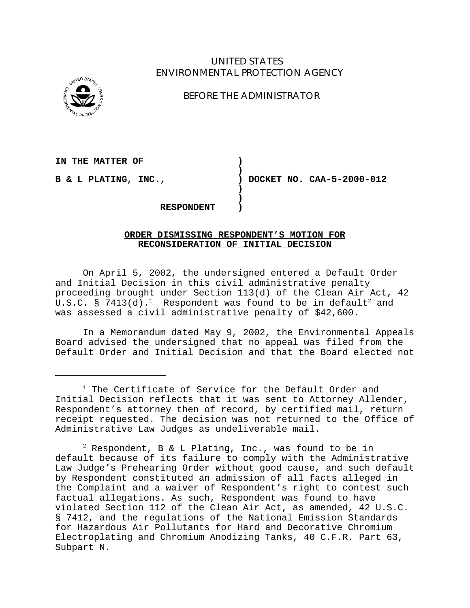## UNITED STATES ENVIRONMENTAL PROTECTION AGENCY



BEFORE THE ADMINISTRATOR

IN THE MATTER OF  $\qquad \qquad$ 

**B & L PLATING, INC., ) DOCKET NO. CAA-5-2000-012** 

**RESPONDENT )** 

## **ORDER DISMISSING RESPONDENT'S MOTION FOR RECONSIDERATION OF INITIAL DECISION**

**)** 

**) )** 

On April 5, 2002, the undersigned entered a Default Order and Initial Decision in this civil administrative penalty proceeding brought under Section 113(d) of the Clean Air Act, 42 U.S.C. § 7413(d). $^1$  Respondent was found to be in default $^2$  and was assessed a civil administrative penalty of \$42,600.

In a Memorandum dated May 9, 2002, the Environmental Appeals Board advised the undersigned that no appeal was filed from the Default Order and Initial Decision and that the Board elected not

<sup>&</sup>lt;sup>1</sup> The Certificate of Service for the Default Order and Initial Decision reflects that it was sent to Attorney Allender, Respondent's attorney then of record, by certified mail, return receipt requested. The decision was not returned to the Office of Administrative Law Judges as undeliverable mail.

 $2$  Respondent, B & L Plating, Inc., was found to be in default because of its failure to comply with the Administrative Law Judge's Prehearing Order without good cause, and such default by Respondent constituted an admission of all facts alleged in the Complaint and a waiver of Respondent's right to contest such factual allegations. As such, Respondent was found to have violated Section 112 of the Clean Air Act, as amended, 42 U.S.C. § 7412, and the regulations of the National Emission Standards for Hazardous Air Pollutants for Hard and Decorative Chromium Electroplating and Chromium Anodizing Tanks, 40 C.F.R. Part 63, Subpart N.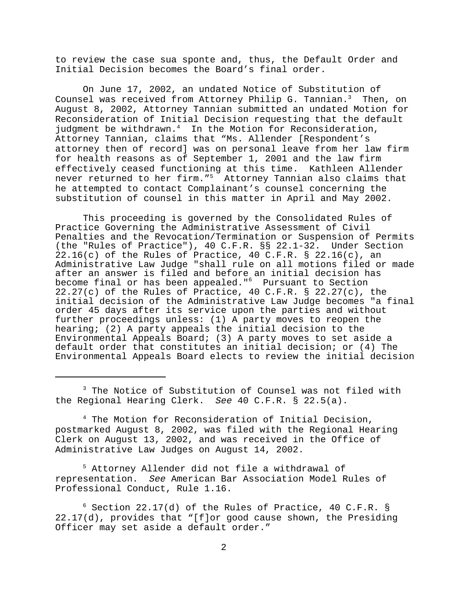to review the case sua sponte and, thus, the Default Order and Initial Decision becomes the Board's final order.

On June 17, 2002, an undated Notice of Substitution of Counsel was received from Attorney Philip G. Tannian.<sup>3</sup> Then, on August 8, 2002, Attorney Tannian submitted an undated Motion for Reconsideration of Initial Decision requesting that the default judgment be withdrawn.<sup>4</sup> In the Motion for Reconsideration, Attorney Tannian, claims that "Ms. Allender [Respondent's attorney then of record] was on personal leave from her law firm for health reasons as of September 1, 2001 and the law firm effectively ceased functioning at this time. Kathleen Allender never returned to her firm."<sup>5</sup> Attorney Tannian also claims that he attempted to contact Complainant's counsel concerning the substitution of counsel in this matter in April and May 2002.

This proceeding is governed by the Consolidated Rules of Practice Governing the Administrative Assessment of Civil Penalties and the Revocation/Termination or Suspension of Permits (the "Rules of Practice"), 40 C.F.R. §§ 22.1-32. Under Section 22.16(c) of the Rules of Practice, 40 C.F.R. § 22.16(c), an Administrative Law Judge "shall rule on all motions filed or made after an answer is filed and before an initial decision has become final or has been appealed."<sup>6</sup> Pursuant to Section<br>22.27(c) of the Rules of Practice, 40 C.F.R. § 22.27(c), the initial decision of the Administrative Law Judge becomes "a final order 45 days after its service upon the parties and without further proceedings unless: (1) A party moves to reopen the hearing; (2) A party appeals the initial decision to the Environmental Appeals Board; (3) A party moves to set aside a default order that constitutes an initial decision; or (4) The Environmental Appeals Board elects to review the initial decision

<sup>3</sup> The Notice of Substitution of Counsel was not filed with the Regional Hearing Clerk. *See* 40 C.F.R. § 22.5(a).

4 The Motion for Reconsideration of Initial Decision, postmarked August 8, 2002, was filed with the Regional Hearing Clerk on August 13, 2002, and was received in the Office of Administrative Law Judges on August 14, 2002.

5 Attorney Allender did not file a withdrawal of representation. *See* American Bar Association Model Rules of Professional Conduct, Rule 1.16.

 $6$  Section 22.17(d) of the Rules of Practice, 40 C.F.R. § 22.17(d), provides that "[f]or good cause shown, the Presiding Officer may set aside a default order."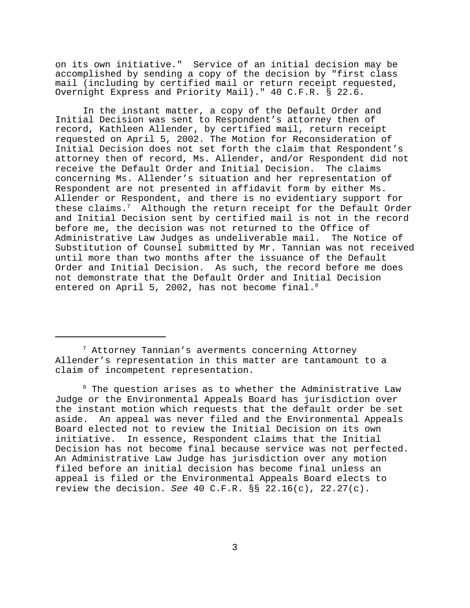on its own initiative." Service of an initial decision may be accomplished by sending a copy of the decision by "first class mail (including by certified mail or return receipt requested, Overnight Express and Priority Mail)." 40 C.F.R. § 22.6.

In the instant matter, a copy of the Default Order and Initial Decision was sent to Respondent's attorney then of record, Kathleen Allender, by certified mail, return receipt requested on April 5, 2002. The Motion for Reconsideration of Initial Decision does not set forth the claim that Respondent's attorney then of record, Ms. Allender, and/or Respondent did not receive the Default Order and Initial Decision. The claims concerning Ms. Allender's situation and her representation of Respondent are not presented in affidavit form by either Ms. Allender or Respondent, and there is no evidentiary support for these claims. $7$  Although the return receipt for the Default Order and Initial Decision sent by certified mail is not in the record before me, the decision was not returned to the Office of Administrative Law Judges as undeliverable mail. The Notice of Substitution of Counsel submitted by Mr. Tannian was not received until more than two months after the issuance of the Default Order and Initial Decision. As such, the record before me does not demonstrate that the Default Order and Initial Decision entered on April 5, 2002, has not become final. $8$ 

 $^{\text{\tiny{8}}}$  The question arises as to whether the Administrative Law Judge or the Environmental Appeals Board has jurisdiction over the instant motion which requests that the default order be set aside. An appeal was never filed and the Environmental Appeals Board elected not to review the Initial Decision on its own initiative. In essence, Respondent claims that the Initial Decision has not become final because service was not perfected. An Administrative Law Judge has jurisdiction over any motion filed before an initial decision has become final unless an appeal is filed or the Environmental Appeals Board elects to review the decision. *See* 40 C.F.R. §§ 22.16(c), 22.27(c).

 $^7$  Attorney Tannian's averments concerning Attorney Allender's representation in this matter are tantamount to a claim of incompetent representation.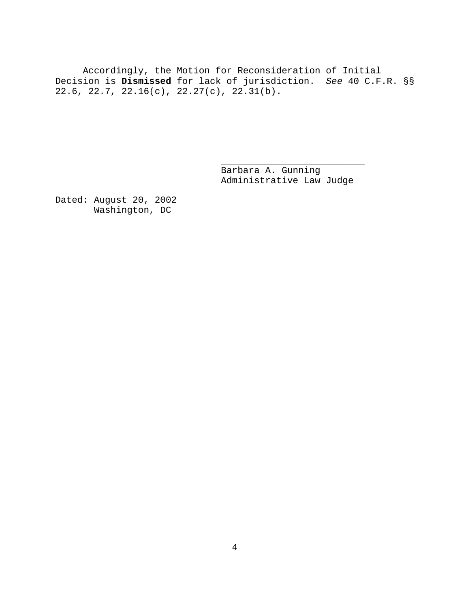Accordingly, the Motion for Reconsideration of Initial Decision is **Dismissed** for lack of jurisdiction. *See* 40 C.F.R. §§ 22.6, 22.7, 22.16(c), 22.27(c), 22.31(b).

> Barbara A. Gunning Administrative Law Judge

\_\_\_\_\_\_\_\_\_\_\_\_\_\_\_\_\_\_\_\_\_\_\_\_\_\_

Dated: August 20, 2002 Washington, DC